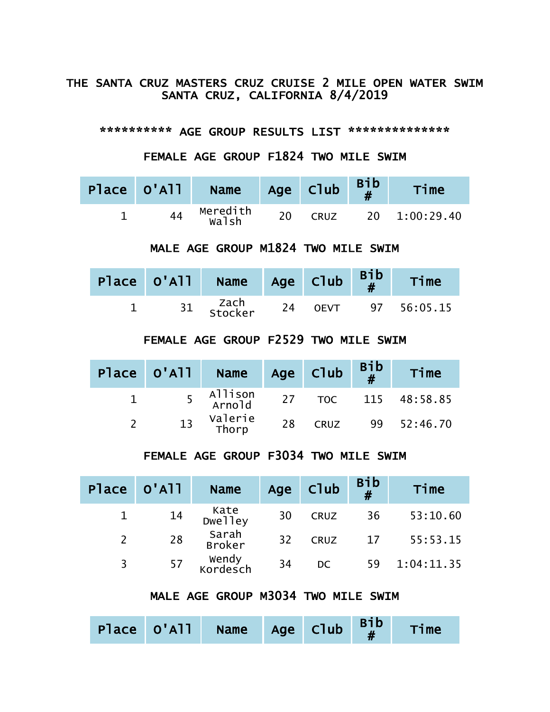#### THE SANTA CRUZ MASTERS CRUZ CRUISE 2 MILE OPEN WATER SWIM SANTA CRUZ, CALIFORNIA 8/4/2019

\*\*\*\*\*\*\*\*\*\* AGE GROUP RESULTS LIST \*\*\*\*\*\*\*\*\*\*\*\*\*\*

FEMALE AGE GROUP F1824 TWO MILE SWIM

|    | Place O'All Name  |    | Age Club    | $Bib$<br># | Time          |
|----|-------------------|----|-------------|------------|---------------|
| 44 | Meredith<br>Walsh | 20 | <b>CRUZ</b> |            | 20 1:00:29.40 |

#### MALE AGE GROUP M1824 TWO MILE SWIM

|  | Place $0'$ All Name Age Club $B_{\#}^{1b}$ |    |             | Time        |
|--|--------------------------------------------|----|-------------|-------------|
|  | zach<br>Stocker                            | 24 | <b>OEVT</b> | 97 56:05.15 |

### FEMALE AGE GROUP F2529 TWO MILE SWIM

| Place 0'All | <b>Name</b>         |    | Age Club    | $\begin{array}{c} \text{Bib} \\ \text{\#} \end{array}$ | Time                |
|-------------|---------------------|----|-------------|--------------------------------------------------------|---------------------|
|             | 5 Allison<br>Arnold |    |             |                                                        | 27 TOC 115 48:58.85 |
| 13          | Valerie<br>Thorp    | 28 | <b>CRUZ</b> |                                                        | 99 52:46.70         |

#### FEMALE AGE GROUP F3034 TWO MILE SWIM

| Place | $\blacksquare$ O'ATT | Name              | Age | Club        | <b>Bib</b><br># | Time       |
|-------|----------------------|-------------------|-----|-------------|-----------------|------------|
|       | 14                   | Kate<br>Dwelley   | 30  | <b>CRUZ</b> | 36              | 53:10.60   |
|       | 28                   | Sarah<br>Broker   | 32  | <b>CRUZ</b> | 17              | 55:53.15   |
|       | 57                   | wendy<br>Kordesch | 34  | DC.         | 59              | 1:04:11.35 |

# MALE AGE GROUP M3034 TWO MILE SWIM

|  |  | Place $0'$ All Name Age Club $\begin{array}{ c c c c c }\n\hline\n\text{Place} & \text{O}'$ All Name Age Club $\begin{array}{c c c c}\n\hline\n\text{B} & \text{B} & \text{B} & \text{B}\n\hline\n\text{H} & \text{H}\n\end{array}$ |  |  |  | Time |
|--|--|-------------------------------------------------------------------------------------------------------------------------------------------------------------------------------------------------------------------------------------|--|--|--|------|
|--|--|-------------------------------------------------------------------------------------------------------------------------------------------------------------------------------------------------------------------------------------|--|--|--|------|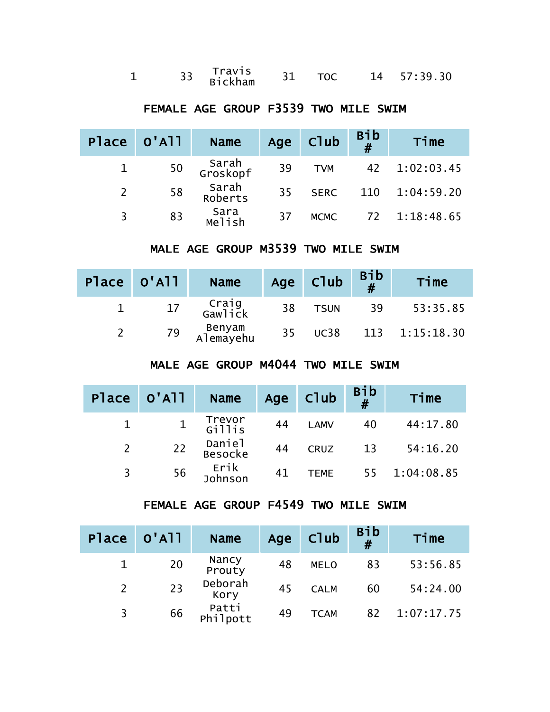|  |  | Travis<br>Bickham |  |  |  | 14 57:39.30 |
|--|--|-------------------|--|--|--|-------------|
|--|--|-------------------|--|--|--|-------------|

# FEMALE AGE GROUP F3539 TWO MILE SWIM

| Place 0'All |    | <b>Name</b>       | Age | Club        | <b>Bib</b><br># | Time           |
|-------------|----|-------------------|-----|-------------|-----------------|----------------|
|             | 50 | Sarah<br>Groskopf | 39  | <b>TVM</b>  | 42              | 1:02:03.45     |
|             | 58 | Sarah<br>Roberts  | 35  | <b>SERC</b> |                 | 110 1:04:59.20 |
| 3           | 83 | Sara<br>Melish    | -37 | <b>MCMC</b> |                 | 72 1:18:48.65  |

### MALE AGE GROUP M3539 TWO MILE SWIM

| Place 0'All |    | <b>Name</b>         |    | Age Club    | $Bib$<br># | Time           |
|-------------|----|---------------------|----|-------------|------------|----------------|
|             | 17 | Craig<br>Gawlick    | 38 | <b>TSUN</b> | 39         | 53:35.85       |
|             | 79 | Benyam<br>Alemayehu | 35 | <b>UC38</b> |            | 113 1:15:18.30 |

## MALE AGE GROUP M4044 TWO MILE SWIM

| Place 0'All |    | <b>Name</b>       |    | Age Club    | Bib<br># | Time       |
|-------------|----|-------------------|----|-------------|----------|------------|
|             |    | Trevor<br>Gillis  | 44 | <b>LAMV</b> | 40       | 44:17.80   |
|             | 22 | Daniel<br>Besocke | 44 | <b>CRUZ</b> | 13       | 54:16.20   |
| 3           | 56 | Erik<br>Johnson   | 41 | <b>TEME</b> | 55       | 1:04:08.85 |

#### FEMALE AGE GROUP F4549 TWO MILE SWIM

| Place | $O'$ A $11$ | <b>Name</b>       | Age | Club        | Bib<br># | Time       |
|-------|-------------|-------------------|-----|-------------|----------|------------|
|       | 20          | Nancy<br>Prouty   | 48  | <b>MELO</b> | 83       | 53:56.85   |
|       | 23          | Deborah<br>Kory   | 45  | <b>CALM</b> | 60       | 54:24.00   |
| 3     | 66          | Patti<br>Philpott | 49  | <b>TCAM</b> | 82       | 1:07:17.75 |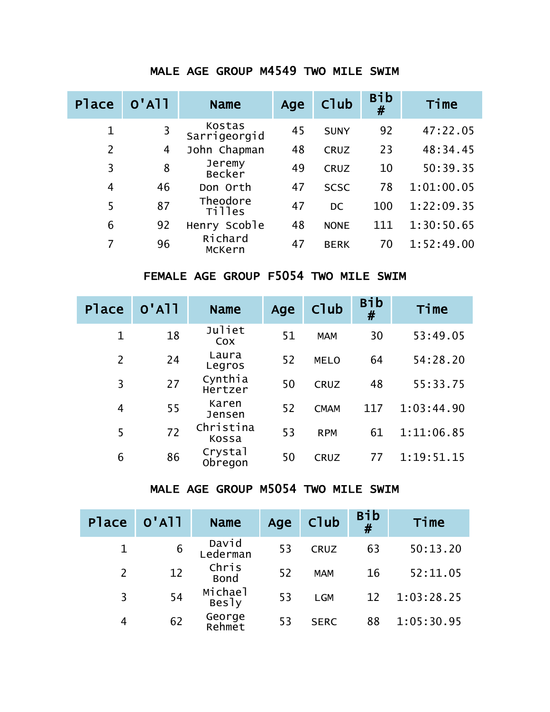### MALE AGE GROUP M4549 TWO MILE SWIM

| <b>Place</b>   | $O'$ A <sub>11</sub> | <b>Name</b>             | Age | <b>C</b> lub | <b>Bib</b><br># | Time       |
|----------------|----------------------|-------------------------|-----|--------------|-----------------|------------|
| $\mathbf 1$    | 3                    | Kostas<br>Sarrigeorgid  | 45  | <b>SUNY</b>  | 92              | 47:22.05   |
| $\overline{2}$ | 4                    | John Chapman            | 48  | <b>CRUZ</b>  | 23              | 48:34.45   |
| 3              | 8                    | Jeremy<br><b>Becker</b> | 49  | <b>CRUZ</b>  | 10              | 50:39.35   |
| 4              | 46                   | Don Orth                | 47  | <b>SCSC</b>  | 78              | 1:01:00.05 |
| 5              | 87                   | Theodore<br>Tilles      | 47  | <b>DC</b>    | 100             | 1:22:09.35 |
| 6              | 92                   | Henry Scoble            | 48  | <b>NONE</b>  | 111             | 1:30:50.65 |
|                | 96                   | Richard<br>McKern       | 47  | <b>BERK</b>  | 70              | 1:52:49.00 |

# FEMALE AGE GROUP F5054 TWO MILE SWIM

| <b>Place</b>   | $O'$ A <sub>11</sub> | <b>Name</b>        | Age | C <sub>1</sub> ub | Bib<br># | Time       |
|----------------|----------------------|--------------------|-----|-------------------|----------|------------|
| $\mathbf{1}$   | 18                   | Juliet<br>Cox      | 51  | <b>MAM</b>        | 30       | 53:49.05   |
| $\overline{2}$ | 24                   | Laura<br>Legros    | 52  | <b>MELO</b>       | 64       | 54:28.20   |
| 3              | 27                   | Cynthia<br>Hertzer | 50  | <b>CRUZ</b>       | 48       | 55:33.75   |
| 4              | 55                   | Karen<br>Jensen    | 52  | <b>CMAM</b>       | 117      | 1:03:44.90 |
| 5              | 72                   | Christina<br>Kossa | 53  | <b>RPM</b>        | 61       | 1:11:06.85 |
| 6              | 86                   | Crystal<br>Obregon | 50  | <b>CRUZ</b>       | 77       | 1:19:51.15 |

# MALE AGE GROUP M5054 TWO MILE SWIM

| Place          | $O'$ A $11$ | <b>Name</b>          | Age | Club        | <b>Bib</b><br># | Time       |
|----------------|-------------|----------------------|-----|-------------|-----------------|------------|
| 1              | 6           | David<br>Lederman    | 53  | <b>CRUZ</b> | 63              | 50:13.20   |
| $\overline{2}$ | 12          | Chris<br><b>Bond</b> | 52  | <b>MAM</b>  | 16              | 52:11.05   |
| 3              | 54          | Michael<br>Besly     | 53  | <b>LGM</b>  | 12              | 1:03:28.25 |
| 4              | 62          | George<br>Rehmet     | 53  | <b>SERC</b> | 88              | 1:05:30.95 |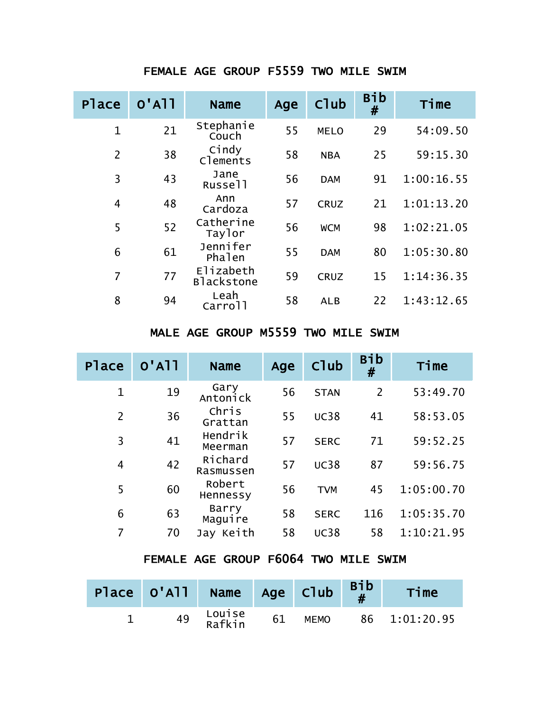| <b>Place</b>   | $O'$ A $11$ | <b>Name</b>                    | Age | C <sub>1</sub> ub | <b>Bib</b><br># | Time       |
|----------------|-------------|--------------------------------|-----|-------------------|-----------------|------------|
| $\mathbf{1}$   | 21          | Stephanie<br>Couch             | 55  | <b>MELO</b>       | 29              | 54:09.50   |
| $\overline{2}$ | 38          | Cindy<br>Clements              | 58  | <b>NBA</b>        | 25              | 59:15.30   |
| 3              | 43          | Jane<br>Russell                | 56  | <b>DAM</b>        | 91              | 1:00:16.55 |
| $\overline{4}$ | 48          | Ann<br>Cardoza                 | 57  | <b>CRUZ</b>       | 21              | 1:01:13.20 |
| 5              | 52          | Catherine<br>Taylor            | 56  | <b>WCM</b>        | 98              | 1:02:21.05 |
| 6              | 61          | Jennifer<br>Phalen             | 55  | <b>DAM</b>        | 80              | 1:05:30.80 |
| 7              | 77          | Elizabeth<br><b>Blackstone</b> | 59  | <b>CRUZ</b>       | 15              | 1:14:36.35 |
| 8              | 94          | Leah<br>Carrol <sub>1</sub>    | 58  | <b>ALB</b>        | 22              | 1:43:12.65 |

### FEMALE AGE GROUP F5559 TWO MILE SWIM

## MALE AGE GROUP M5559 TWO MILE SWIM

| <b>Place</b>   | $O'$ A $11$ | <b>Name</b>          | Age | Club        | <b>Bib</b><br># | Time       |
|----------------|-------------|----------------------|-----|-------------|-----------------|------------|
| 1              | 19          | Gary<br>Antonick     | 56  | <b>STAN</b> | $\overline{2}$  | 53:49.70   |
| $\overline{2}$ | 36          | Chris<br>Grattan     | 55  | <b>UC38</b> | 41              | 58:53.05   |
| 3              | 41          | Hendrik<br>Meerman   | 57  | <b>SERC</b> | 71              | 59:52.25   |
| 4              | 42          | Richard<br>Rasmussen | 57  | <b>UC38</b> | 87              | 59:56.75   |
| 5              | 60          | Robert<br>Hennessy   | 56  | <b>TVM</b>  | 45              | 1:05:00.70 |
| 6              | 63          | Barry<br>Maguire     | 58  | <b>SERC</b> | 116             | 1:05:35.70 |
|                | 70          | Jay Keith            | 58  | <b>UC38</b> | 58              | 1:10:21.95 |

# FEMALE AGE GROUP F6064 TWO MILE SWIM

| Place 0'All Name Age Club |                  |    |             | <b>Bib</b> | Time          |
|---------------------------|------------------|----|-------------|------------|---------------|
| 49                        | Louise<br>Rafkin | 61 | <b>MEMO</b> |            | 86 1:01:20.95 |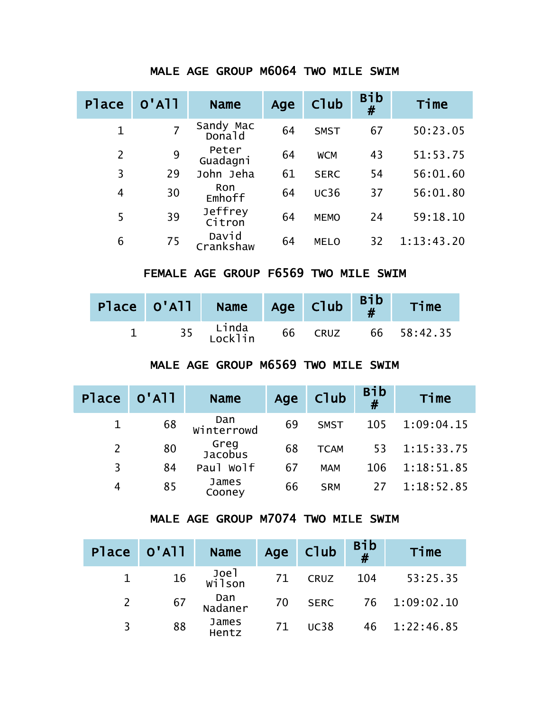| <b>Place</b>   | $O'$ A $11$    | <b>Name</b>         | Age | C <sub>1</sub> ub | Bib<br># | Time       |
|----------------|----------------|---------------------|-----|-------------------|----------|------------|
| $\mathbf{1}$   | $\overline{7}$ | Sandy Mac<br>Donald | 64  | <b>SMST</b>       | 67       | 50:23.05   |
| $\overline{2}$ | 9              | Peter<br>Guadagni   | 64  | <b>WCM</b>        | 43       | 51:53.75   |
| 3              | 29             | John Jeha           | 61  | <b>SERC</b>       | 54       | 56:01.60   |
| 4              | 30             | Ron<br>Emhoff       | 64  | <b>UC36</b>       | 37       | 56:01.80   |
| 5              | 39             | Jeffrey<br>Citron   | 64  | <b>MEMO</b>       | 24       | 59:18.10   |
| 6              | 75             | David<br>Crankshaw  | 64  | <b>MELO</b>       | 32       | 1:13:43.20 |

### MALE AGE GROUP M6064 TWO MILE SWIM

# FEMALE AGE GROUP F6569 TWO MILE SWIM

|  | Place $0'$ All Name Age Club $\begin{array}{c c} \text{Bib} \\ \text{H} \end{array}$ |    |             | Time        |
|--|--------------------------------------------------------------------------------------|----|-------------|-------------|
|  | 35 Linda<br>Locklin                                                                  | 66 | <b>CRUZ</b> | 66 58:42.35 |

## MALE AGE GROUP M6569 TWO MILE SWIM

| Place | $O'$ A $11$ | <b>Name</b>       | Age | Club        | $Bib$<br># | Time       |
|-------|-------------|-------------------|-----|-------------|------------|------------|
|       | 68          | Dan<br>Winterrowd | 69  | <b>SMST</b> | 105        | 1:09:04.15 |
|       | 80          | Greg<br>Jacobus   | 68  | <b>TCAM</b> | 53         | 1:15:33.75 |
| 3     | 84          | Paul Wolf         | 67  | <b>MAM</b>  | 106        | 1:18:51.85 |
| 4     | 85          | James<br>Cooney   | 66  | <b>SRM</b>  | 27         | 1:18:52.85 |

### MALE AGE GROUP M7074 TWO MILE SWIM

|   | Place 0'All | <b>Name</b>    |    | Age Club    | Bib<br># | Time          |
|---|-------------|----------------|----|-------------|----------|---------------|
|   | 16          | Joel<br>Wilson | 71 | <b>CRUZ</b> | 104      | 53:25.35      |
|   | 67          | Dan<br>Nadaner | 70 | <b>SERC</b> |          | 76 1:09:02.10 |
| 3 | 88          | James<br>Hentz | 71 | <b>UC38</b> |          | 46 1:22:46.85 |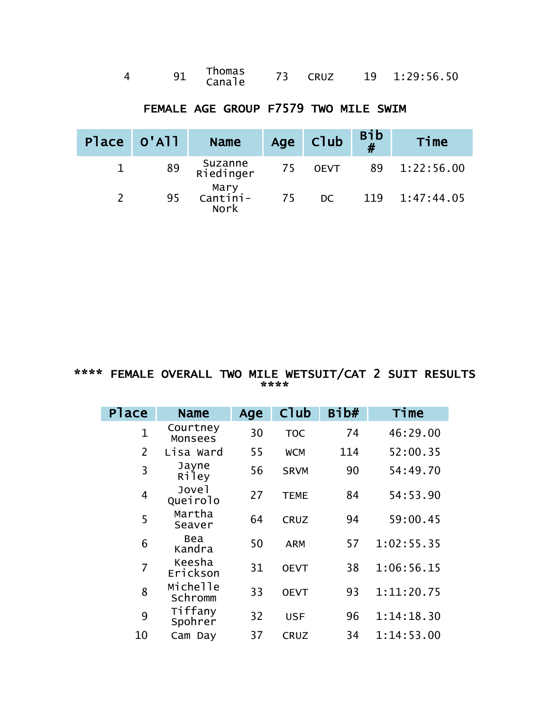|  |  | Thomas<br>Canale |  | CRUZ |  | 19 1:29:56.50 |
|--|--|------------------|--|------|--|---------------|
|--|--|------------------|--|------|--|---------------|

| Place 0'All | <b>Name</b>               |    | Age Club    | Bib<br># | Time       |
|-------------|---------------------------|----|-------------|----------|------------|
| 89          | Suzanne<br>Riedinger      | 75 | <b>OEVT</b> | 89       | 1:22:56.00 |
| 95          | Mary<br>--Cantini<br>Nork | 75 | DC.         | 119      | 1:47:44.05 |

# FEMALE AGE GROUP F7579 TWO MILE SWIM

#### \*\*\*\* FEMALE OVERALL TWO MILE WETSUIT/CAT 2 SUIT RESULTS \*\*\*\*

| <b>Place</b>   | <b>Name</b>         | Age | Club        | Bib# | Time       |
|----------------|---------------------|-----|-------------|------|------------|
| $\mathbf 1$    | Courtney<br>Monsees | 30  | <b>TOC</b>  | 74   | 46:29.00   |
| $\overline{2}$ | Lisa Ward           | 55  | <b>WCM</b>  | 114  | 52:00.35   |
| 3              | Jayne<br>Riley      | 56  | <b>SRVM</b> | 90   | 54:49.70   |
| 4              | Jovel<br>Queirolo   | 27  | <b>TEME</b> | 84   | 54:53.90   |
| 5              | Martha<br>Seaver    | 64  | <b>CRUZ</b> | 94   | 59:00.45   |
| 6              | Bea<br>Kandra       | 50  | <b>ARM</b>  | 57   | 1:02:55.35 |
| 7              | Keesha<br>Erickson  | 31  | <b>OEVT</b> | 38   | 1:06:56.15 |
| 8              | Michelle<br>Schromm | 33  | <b>OEVT</b> | 93   | 1:11:20.75 |
| 9              | Tiffany<br>Spohrer  | 32  | <b>USF</b>  | 96   | 1:14:18.30 |
| 10             | Cam Day             | 37  | <b>CRUZ</b> | 34   | 1:14:53.00 |